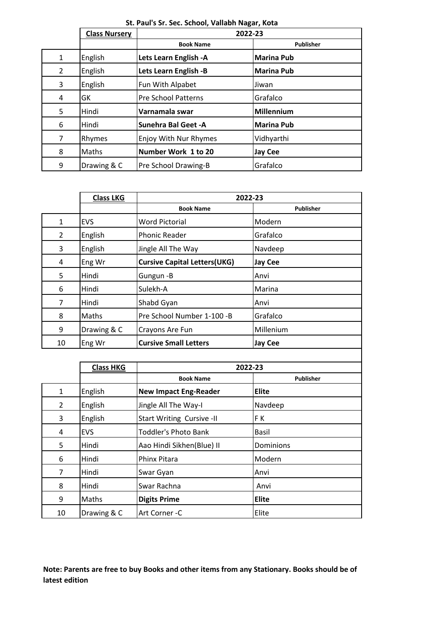|   | <b>Class Nursery</b> |                            | 2022-23           |  |
|---|----------------------|----------------------------|-------------------|--|
|   |                      | <b>Book Name</b>           | <b>Publisher</b>  |  |
| 1 | English              | Lets Learn English - A     | <b>Marina Pub</b> |  |
| 2 | English              | Lets Learn English -B      | <b>Marina Pub</b> |  |
| 3 | English              | Fun With Alpabet           | Jiwan             |  |
| 4 | GK                   | <b>Pre School Patterns</b> | Grafalco          |  |
| 5 | Hindi                | Varnamala swar             | <b>Millennium</b> |  |
| 6 | Hindi                | <b>Sunehra Bal Geet -A</b> | <b>Marina Pub</b> |  |
| 7 | Rhymes               | Enjoy With Nur Rhymes      | Vidhyarthi        |  |
| 8 | Maths                | Number Work 1 to 20        | <b>Jay Cee</b>    |  |
| 9 | Drawing & C          | Pre School Drawing-B       | Grafalco          |  |

| St. Paul's Sr. Sec. School, Vallabh Nagar, Kota |  |
|-------------------------------------------------|--|
|-------------------------------------------------|--|

|                | <b>Class LKG</b> |                                     | 2022-23          |
|----------------|------------------|-------------------------------------|------------------|
|                |                  | <b>Book Name</b>                    | <b>Publisher</b> |
| $\mathbf{1}$   | <b>EVS</b>       | <b>Word Pictorial</b>               | Modern           |
| $\overline{2}$ | English          | <b>Phonic Reader</b>                | Grafalco         |
| 3              | English          | Jingle All The Way                  | Navdeep          |
| 4              | Eng Wr           | <b>Cursive Capital Letters(UKG)</b> | <b>Jay Cee</b>   |
| 5              | Hindi            | Gungun -B                           | Anvi             |
| 6              | Hindi            | Sulekh-A                            | Marina           |
| $\overline{7}$ | Hindi            | Shabd Gyan                          | Anvi             |
| 8              | Maths            | Pre School Number 1-100 -B          | Grafalco         |
| 9              | Drawing & C      | Crayons Are Fun                     | Millenium        |
| 10             | Eng Wr           | <b>Cursive Small Letters</b>        | <b>Jay Cee</b>   |
|                |                  |                                     |                  |
|                | <b>Class HKG</b> |                                     | 2022-23          |
|                |                  | <b>Book Name</b>                    | <b>Publisher</b> |

|    | <b>Class HKG</b> |                              | 2022-23      |
|----|------------------|------------------------------|--------------|
|    |                  | <b>Book Name</b>             | Publisher    |
| 1  | English          | <b>New Impact Eng-Reader</b> | <b>Elite</b> |
| 2  | English          | Jingle All The Way-I         | Navdeep      |
| 3  | English          | Start Writing Cursive -II    | FK           |
| 4  | <b>EVS</b>       | <b>Toddler's Photo Bank</b>  | <b>Basil</b> |
| 5  | Hindi            | Aao Hindi Sikhen(Blue) II    | Dominions    |
| 6  | Hindi            | Phinx Pitara                 | Modern       |
| 7  | Hindi            | Swar Gyan                    | Anvi         |
| 8  | Hindi            | Swar Rachna                  | Anvi         |
| 9  | Maths            | <b>Digits Prime</b>          | <b>Elite</b> |
| 10 | Drawing & C      | Art Corner -C                | Elite        |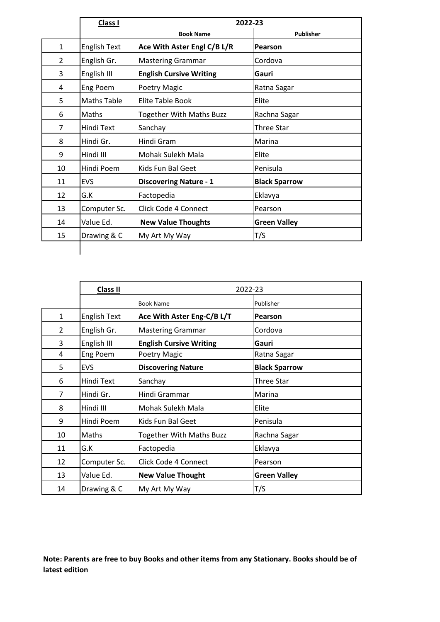|                | Class I             | 2022-23                         |                      |
|----------------|---------------------|---------------------------------|----------------------|
|                |                     | <b>Book Name</b>                | <b>Publisher</b>     |
| $\mathbf{1}$   | <b>English Text</b> | Ace With Aster Engl C/B L/R     | Pearson              |
| 2              | English Gr.         | <b>Mastering Grammar</b>        | Cordova              |
| 3              | English III         | <b>English Cursive Writing</b>  | Gauri                |
| 4              | Eng Poem            | Poetry Magic                    | Ratna Sagar          |
| 5              | <b>Maths Table</b>  | <b>Elite Table Book</b>         | Elite                |
| 6              | <b>Maths</b>        | <b>Together With Maths Buzz</b> | Rachna Sagar         |
| $\overline{7}$ | Hindi Text          | Sanchay                         | <b>Three Star</b>    |
| 8              | Hindi Gr.           | Hindi Gram                      | Marina               |
| 9              | Hindi III           | Mohak Sulekh Mala               | Elite                |
| 10             | Hindi Poem          | Kids Fun Bal Geet               | Penisula             |
| 11             | EVS                 | <b>Discovering Nature - 1</b>   | <b>Black Sparrow</b> |
| 12             | G.K                 | Factopedia                      | Eklavya              |
| 13             | Computer Sc.        | Click Code 4 Connect            | Pearson              |
| 14             | Value Ed.           | <b>New Value Thoughts</b>       | <b>Green Valley</b>  |
| 15             | Drawing & C         | My Art My Way                   | T/S                  |
|                |                     |                                 |                      |

|                | Class II            | 2022-23                         |                      |
|----------------|---------------------|---------------------------------|----------------------|
|                |                     | <b>Book Name</b>                | Publisher            |
| $\mathbf{1}$   | <b>English Text</b> | Ace With Aster Eng-C/B L/T      | <b>Pearson</b>       |
| $\overline{2}$ | English Gr.         | <b>Mastering Grammar</b>        | Cordova              |
| 3              | English III         | <b>English Cursive Writing</b>  | Gauri                |
| 4              | Eng Poem            | Poetry Magic                    | Ratna Sagar          |
| 5              | <b>EVS</b>          | <b>Discovering Nature</b>       | <b>Black Sparrow</b> |
| 6              | Hindi Text          | Sanchay                         | <b>Three Star</b>    |
| $\overline{7}$ | Hindi Gr.           | Hindi Grammar                   | Marina               |
| 8              | Hindi III           | Mohak Sulekh Mala               | Elite                |
| 9              | Hindi Poem          | Kids Fun Bal Geet               | Penisula             |
| 10             | Maths               | <b>Together With Maths Buzz</b> | Rachna Sagar         |
| 11             | G.K                 | Factopedia                      | Eklavya              |
| 12             | Computer Sc.        | Click Code 4 Connect            | Pearson              |
| 13             | Value Ed.           | <b>New Value Thought</b>        | <b>Green Valley</b>  |
| 14             | Drawing & C         | My Art My Way                   | T/S                  |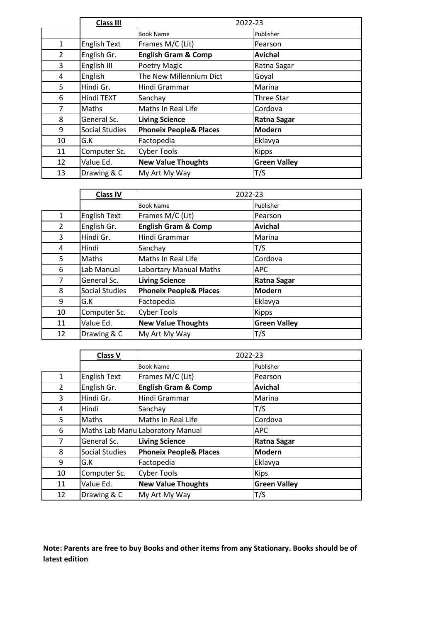|                | Class III           | 2022-23                           |                     |
|----------------|---------------------|-----------------------------------|---------------------|
|                |                     | <b>Book Name</b>                  | Publisher           |
| 1              | <b>English Text</b> | Frames M/C (Lit)                  | Pearson             |
| $\overline{2}$ | English Gr.         | <b>English Gram &amp; Comp</b>    | <b>Avichal</b>      |
| 3              | English III         | Poetry Magic                      | Ratna Sagar         |
| 4              | English             | The New Millennium Dict           | Goyal               |
| 5              | Hindi Gr.           | Hindi Grammar                     | Marina              |
| 6              | Hindi TEXT          | Sanchay                           | <b>Three Star</b>   |
| $\overline{7}$ | Maths               | Maths In Real Life                | Cordova             |
| 8              | General Sc.         | <b>Living Science</b>             | Ratna Sagar         |
| 9              | Social Studies      | <b>Phoneix People&amp; Places</b> | <b>Modern</b>       |
| 10             | G.K                 | Factopedia                        | Eklavya             |
| 11             | Computer Sc.        | <b>Cyber Tools</b>                | <b>Kipps</b>        |
| 12             | Value Ed.           | <b>New Value Thoughts</b>         | <b>Green Valley</b> |
| 13             | Drawing & C         | My Art My Way                     | T/S                 |

|                | <b>Class IV</b>     |                                   | 2022-23             |
|----------------|---------------------|-----------------------------------|---------------------|
|                |                     | <b>Book Name</b>                  | Publisher           |
| $\mathbf{1}$   | <b>English Text</b> | Frames M/C (Lit)                  | Pearson             |
| $\overline{2}$ | English Gr.         | <b>English Gram &amp; Comp</b>    | Avichal             |
| 3              | Hindi Gr.           | Hindi Grammar                     | Marina              |
| 4              | Hindi               | Sanchay                           | T/S                 |
| 5              | Maths               | Maths In Real Life                | Cordova             |
| 6              | Lab Manual          | Labortary Manual Maths            | <b>APC</b>          |
| 7              | General Sc.         | <b>Living Science</b>             | <b>Ratna Sagar</b>  |
| 8              | Social Studies      | <b>Phoneix People&amp; Places</b> | <b>Modern</b>       |
| 9              | G.K                 | Factopedia                        | Eklavya             |
| 10             | Computer Sc.        | <b>Cyber Tools</b>                | <b>Kipps</b>        |
| 11             | Value Ed.           | <b>New Value Thoughts</b>         | <b>Green Valley</b> |
| 12             | Drawing & C         | My Art My Way                     | T/S                 |

|              | <b>Class V</b>        | 2022-23                           |                     |
|--------------|-----------------------|-----------------------------------|---------------------|
|              |                       | <b>Book Name</b>                  | Publisher           |
| $\mathbf{1}$ | <b>English Text</b>   | Frames M/C (Lit)                  | Pearson             |
| 2            | English Gr.           | <b>English Gram &amp; Comp</b>    | <b>Avichal</b>      |
| 3            | Hindi Gr.             | Hindi Grammar                     | Marina              |
| 4            | Hindi                 | Sanchay                           | T/S                 |
| 5            | Maths                 | Maths In Real Life                | Cordova             |
| 6            |                       | Maths Lab Manu Laboratory Manual  | <b>APC</b>          |
| 7            | General Sc.           | <b>Living Science</b>             | <b>Ratna Sagar</b>  |
| 8            | <b>Social Studies</b> | <b>Phoneix People&amp; Places</b> | <b>Modern</b>       |
| 9            | G.K                   | Factopedia                        | Eklavya             |
| 10           | Computer Sc.          | <b>Cyber Tools</b>                | <b>Kips</b>         |
| 11           | Value Ed.             | <b>New Value Thoughts</b>         | <b>Green Valley</b> |
| 12           | Drawing & C           | My Art My Way                     | T/S                 |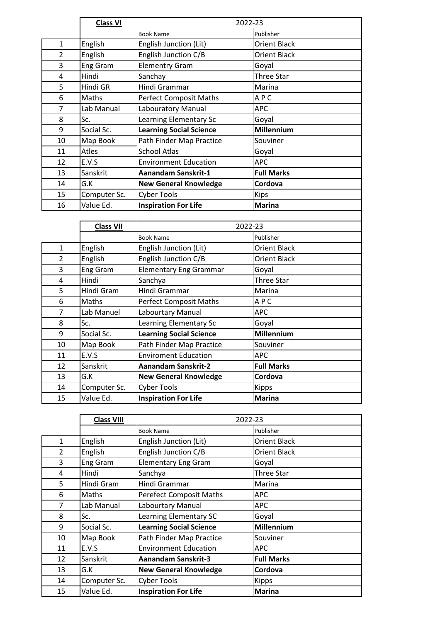|                | <b>Class VI</b> | 2022-23                        |                     |
|----------------|-----------------|--------------------------------|---------------------|
|                |                 | <b>Book Name</b>               | Publisher           |
| $\mathbf{1}$   | English         | English Junction (Lit)         | <b>Orient Black</b> |
| $\overline{2}$ | English         | English Junction C/B           | <b>Orient Black</b> |
| 3              | Eng Gram        | <b>Elementry Gram</b>          | Goyal               |
| 4              | Hindi           | Sanchay                        | <b>Three Star</b>   |
| 5              | Hindi GR        | Hindi Grammar                  | Marina              |
| 6              | Maths           | <b>Perfect Composit Maths</b>  | APC                 |
| 7              | Lab Manual      | Labouratory Manual             | <b>APC</b>          |
| 8              | Sc.             | Learning Elementary Sc         | Goyal               |
| 9              | Social Sc.      | <b>Learning Social Science</b> | <b>Millennium</b>   |
| 10             | Map Book        | Path Finder Map Practice       | Souviner            |
| 11             | Atles           | <b>School Atlas</b>            | Goyal               |
| 12             | E.V.S           | <b>Environment Education</b>   | <b>APC</b>          |
| 13             | Sanskrit        | Aanandam Sanskrit-1            | <b>Full Marks</b>   |
| 14             | G.K             | <b>New General Knowledge</b>   | Cordova             |
| 15             | Computer Sc.    | <b>Cyber Tools</b>             | <b>Kips</b>         |
| 16             | Value Ed.       | <b>Inspiration For Life</b>    | <b>Marina</b>       |

|                | <b>Class VII</b> | 2022-23                        |                     |
|----------------|------------------|--------------------------------|---------------------|
|                |                  | <b>Book Name</b>               | Publisher           |
| $\mathbf{1}$   | English          | English Junction (Lit)         | Orient Black        |
| $\overline{2}$ | English          | English Junction C/B           | <b>Orient Black</b> |
| 3              | Eng Gram         | <b>Elementary Eng Grammar</b>  | Goyal               |
| 4              | Hindi            | Sanchya                        | Three Star          |
| 5              | Hindi Gram       | Hindi Grammar                  | Marina              |
| 6              | Maths            | <b>Perfect Composit Maths</b>  | APC                 |
| 7              | Lab Manuel       | Labourtary Manual              | APC.                |
| 8              | Sc.              | Learning Elementary Sc         | Goyal               |
| 9              | Social Sc.       | <b>Learning Social Science</b> | Millennium          |
| 10             | Map Book         | Path Finder Map Practice       | Souviner            |
| 11             | E.V.S            | <b>Enviroment Education</b>    | APC.                |
| 12             | Sanskrit         | <b>Aanandam Sanskrit-2</b>     | <b>Full Marks</b>   |
| 13             | G.K              | <b>New General Knowledge</b>   | Cordova             |
| 14             | Computer Sc.     | <b>Cyber Tools</b>             | <b>Kipps</b>        |
| 15             | Value Ed.        | <b>Inspiration For Life</b>    | <b>Marina</b>       |

|                | <b>Class VIII</b> |                                | 2022-23             |
|----------------|-------------------|--------------------------------|---------------------|
|                |                   | <b>Book Name</b>               | Publisher           |
| 1              | English           | English Junction (Lit)         | <b>Orient Black</b> |
| $\overline{2}$ | English           | English Junction C/B           | Orient Black        |
| 3              | <b>Eng Gram</b>   | <b>Elementary Eng Gram</b>     | Goyal               |
| 4              | Hindi             | Sanchya                        | Three Star          |
| 5              | Hindi Gram        | Hindi Grammar                  | Marina              |
| 6              | Maths             | <b>Perefect Composit Maths</b> | <b>APC</b>          |
| 7              | Lab Manual        | Labourtary Manual              | <b>APC</b>          |
| 8              | Sc.               | Learning Elementary SC         | Goyal               |
| 9              | Social Sc.        | <b>Learning Social Science</b> | <b>Millennium</b>   |
| 10             | Map Book          | Path Finder Map Practice       | Souviner            |
| 11             | E.V.S             | <b>Environment Education</b>   | <b>APC</b>          |
| 12             | Sanskrit          | Aanandam Sanskrit-3            | <b>Full Marks</b>   |
| 13             | G.K               | <b>New General Knowledge</b>   | Cordova             |
| 14             | Computer Sc.      | <b>Cyber Tools</b>             | <b>Kipps</b>        |
| 15             | Value Ed.         | <b>Inspiration For Life</b>    | <b>Marina</b>       |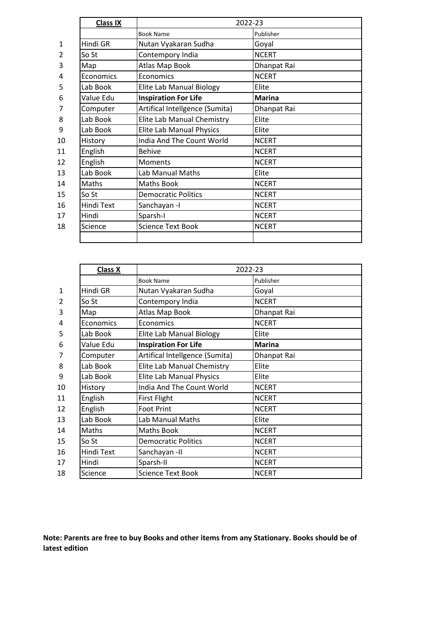|              | <b>Class IX</b> | 2022-23                         |               |
|--------------|-----------------|---------------------------------|---------------|
|              |                 | <b>Book Name</b>                | Publisher     |
| $\mathbf{1}$ | Hindi GR        | Nutan Vyakaran Sudha            | Goyal         |
| 2            | So St           | Contempory India                | <b>NCERT</b>  |
| 3            | Map             | Atlas Map Book                  | Dhanpat Rai   |
| 4            | Economics       | Economics                       | <b>NCERT</b>  |
| 5            | Lab Book        | Elite Lab Manual Biology        | Elite         |
| 6            | Value Edu       | <b>Inspiration For Life</b>     | <b>Marina</b> |
| 7            | Computer        | Artifical Intellgence (Sumita)  | Dhanpat Rai   |
| 8            | Lab Book        | Elite Lab Manual Chemistry      | Elite         |
| 9            | Lab Book        | <b>Elite Lab Manual Physics</b> | Elite         |
| 10           | History         | India And The Count World       | <b>NCERT</b>  |
| 11           | English         | <b>Behive</b>                   | <b>NCERT</b>  |
| 12           | English         | <b>Moments</b>                  | <b>NCERT</b>  |
| 13           | Lab Book        | Lab Manual Maths                | Elite         |
| 14           | Maths           | <b>Maths Book</b>               | <b>NCERT</b>  |
| 15           | So St           | <b>Democratic Politics</b>      | <b>NCERT</b>  |
| 16           | Hindi Text      | Sanchayan -I                    | <b>NCERT</b>  |
| 17           | Hindi           | Sparsh-I                        | <b>NCERT</b>  |
| 18           | Science         | <b>Science Text Book</b>        | <b>NCERT</b>  |
|              |                 |                                 |               |
|              |                 |                                 |               |

|                | Class X    | 2022-23                         |               |
|----------------|------------|---------------------------------|---------------|
|                |            | <b>Book Name</b>                | Publisher     |
| $\mathbf{1}$   | Hindi GR   | Nutan Vyakaran Sudha            | Goyal         |
| $\overline{2}$ | So St      | Contempory India                | <b>NCERT</b>  |
| 3              | Map        | Atlas Map Book                  | Dhanpat Rai   |
| 4              | Economics  | Economics                       | <b>NCERT</b>  |
| 5              | Lab Book   | Elite Lab Manual Biology        | Elite         |
| 6              | Value Edu  | <b>Inspiration For Life</b>     | <b>Marina</b> |
| 7              | Computer   | Artifical Intellgence (Sumita)  | Dhanpat Rai   |
| 8              | Lab Book   | Elite Lab Manual Chemistry      | Elite         |
| 9              | Lab Book   | <b>Elite Lab Manual Physics</b> | Elite         |
| 10             | History    | India And The Count World       | <b>NCERT</b>  |
| 11             | English    | <b>First Flight</b>             | <b>NCERT</b>  |
| 12             | English    | <b>Foot Print</b>               | <b>NCERT</b>  |
| 13             | Lab Book   | Lab Manual Maths                | Elite         |
| 14             | Maths      | <b>Maths Book</b>               | <b>NCERT</b>  |
| 15             | So St      | <b>Democratic Politics</b>      | <b>NCERT</b>  |
| 16             | Hindi Text | Sanchayan-II                    | <b>NCERT</b>  |
| 17             | Hindi      | Sparsh-II                       | <b>NCERT</b>  |
| 18             | Science    | <b>Science Text Book</b>        | <b>NCERT</b>  |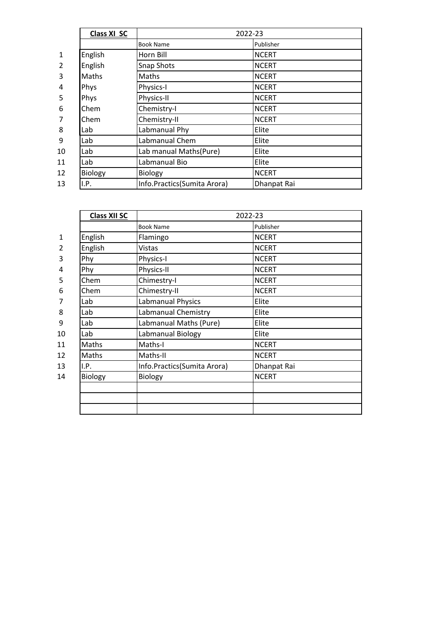|              | Class XI SC    | 2022-23                     |              |
|--------------|----------------|-----------------------------|--------------|
|              |                | <b>Book Name</b>            | Publisher    |
| $\mathbf{1}$ | English        | Horn Bill                   | <b>NCERT</b> |
| 2            | English        | <b>Snap Shots</b>           | <b>NCERT</b> |
| 3            | Maths          | Maths                       | <b>NCERT</b> |
| 4            | Phys           | Physics-I                   | <b>NCERT</b> |
| 5            | Phys           | Physics-II                  | <b>NCERT</b> |
| 6            | Chem           | Chemistry-I                 | <b>NCERT</b> |
|              | Chem           | Chemistry-II                | <b>NCERT</b> |
| 8            | Lab            | Labmanual Phy               | Elite        |
| 9            | Lab            | Labmanual Chem              | Elite        |
| 10           | Lab            | Lab manual Maths(Pure)      | Elite        |
| 11           | Lab            | Labmanual Bio               | Elite        |
| 12           | <b>Biology</b> | <b>Biology</b>              | <b>NCERT</b> |
| 13           | I.P.           | Info.Practics(Sumita Arora) | Dhanpat Rai  |

|              | <b>Class XII SC</b> | 2022-23                     |              |
|--------------|---------------------|-----------------------------|--------------|
|              |                     | <b>Book Name</b>            | Publisher    |
| $\mathbf{1}$ | English             | Flamingo                    | <b>NCERT</b> |
| 2            | English             | Vistas                      | <b>NCERT</b> |
| 3            | Phy                 | Physics-I                   | <b>NCERT</b> |
| 4            | Phy                 | Physics-II                  | <b>NCERT</b> |
| 5            | Chem                | Chimestry-I                 | <b>NCERT</b> |
| 6            | Chem                | Chimestry-II                | <b>NCERT</b> |
| 7            | Lab                 | Labmanual Physics           | Elite        |
| 8            | Lab                 | Labmanual Chemistry         | Elite        |
| 9            | Lab                 | Labmanual Maths (Pure)      | Elite        |
| 10           | Lab                 | Labmanual Biology           | Elite        |
| 11           | Maths               | Maths-I                     | <b>NCERT</b> |
| 12           | Maths               | Maths-II                    | <b>NCERT</b> |
| 13           | I.P.                | Info.Practics(Sumita Arora) | Dhanpat Rai  |
| 14           | Biology             | Biology                     | <b>NCERT</b> |
|              |                     |                             |              |
|              |                     |                             |              |
|              |                     |                             |              |